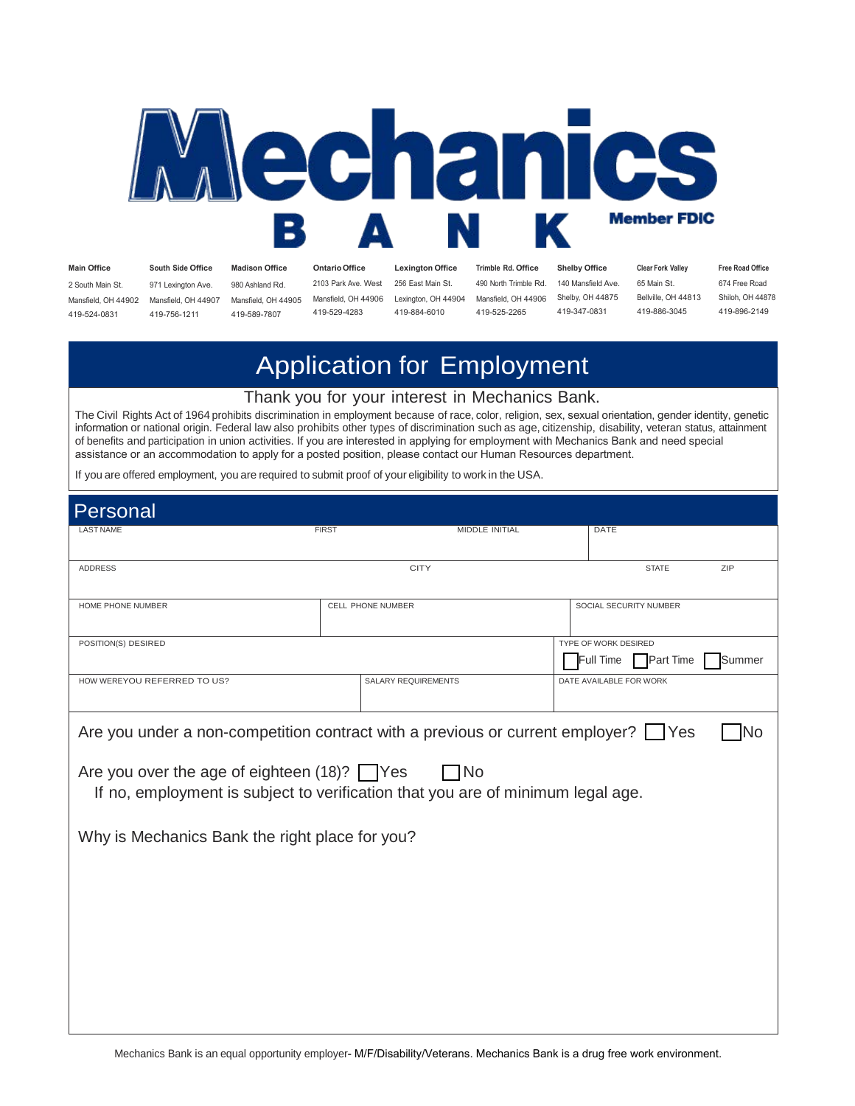

419-524-0831 419-756-1211 419-589-7807 419-529-4283 419-884-6010 419-525-2265 419-347-0831 419-886-3045 419-896-2149

Main Office South Side Office Madison Office Ontario Office Lexington Office Trimble Rd. Office Shelby Office Clear Fork Valley Free Road Office 2 South Main St. 971 Lexington Ave. 980 Ashland Rd. 2103 Park Ave. West 256 East Main St. 490 North Trimble Rd. 140 Mansfield Ave. 65 Main St. 674 Free Road<br>Mansfield, OH 44902 Mansfield, OH 44907 Mansfield, OH 44905 Mansf Mansfield, OH 44902 Mansfield, OH 44907 Mansfield, OH 44905 Mansfield, OH 44906 Lexington, OH 44904 Mansfield, OH 44906 Shelby, OH 44875 Bellville, OH 44813 Shiloh, OH 448<br>419-524-0831 419-756-1211 419-589-7807 419-529-428

# Application for Employment

#### Thank you for your interest in Mechanics Bank.

The Civil Rights Act of 1964 prohibits discrimination in employment because of race, color, religion, sex, sexual orientation, gender identity, genetic information or national origin. Federal law also prohibits other types of discrimination such as age, citizenship, disability, veteran status, attainment of benefits and participation in union activities. If you are interested in applying for employment with Mechanics Bank and need special assistance or an accommodation to apply for a posted position, please contact our Human Resources department.

If you are offered employment, you are required to submit proof of your eligibility to work in the USA.

| <b>ZIP</b>                                                                                                                                     |  |  |  |  |
|------------------------------------------------------------------------------------------------------------------------------------------------|--|--|--|--|
|                                                                                                                                                |  |  |  |  |
|                                                                                                                                                |  |  |  |  |
|                                                                                                                                                |  |  |  |  |
| Summer                                                                                                                                         |  |  |  |  |
|                                                                                                                                                |  |  |  |  |
| Are you under a non-competition contract with a previous or current employer? $\Box$ Yes<br>No                                                 |  |  |  |  |
| Are you over the age of eighteen $(18)$ ? $\Box$ Yes<br>1No<br>If no, employment is subject to verification that you are of minimum legal age. |  |  |  |  |
|                                                                                                                                                |  |  |  |  |
|                                                                                                                                                |  |  |  |  |
|                                                                                                                                                |  |  |  |  |
|                                                                                                                                                |  |  |  |  |
|                                                                                                                                                |  |  |  |  |
|                                                                                                                                                |  |  |  |  |

Mechanics Bank is an equal opportunity employer- M/F/Disability/Veterans. Mechanics Bank is a drug free work environment.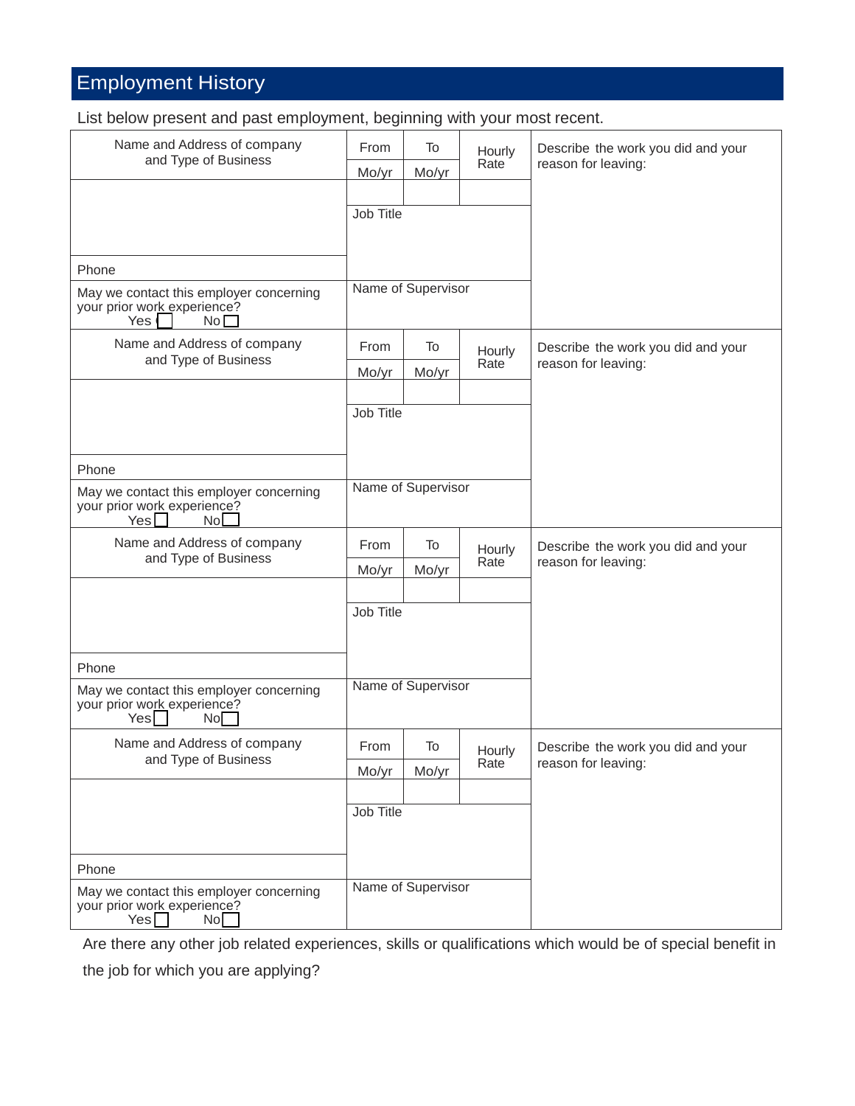# Employment History

List below present and past employment, beginning with your most recent.

| Name and Address of company<br>and Type of Business                                              | From      | To                 | Hourly | Describe the work you did and your |
|--------------------------------------------------------------------------------------------------|-----------|--------------------|--------|------------------------------------|
|                                                                                                  | Mo/yr     | Mo/yr              | Rate   | reason for leaving:                |
|                                                                                                  |           |                    |        |                                    |
|                                                                                                  | Job Title |                    |        |                                    |
|                                                                                                  |           |                    |        |                                    |
| Phone                                                                                            |           |                    |        |                                    |
| May we contact this employer concerning<br>your prior work experience?<br>Yes <sup></sup><br>No  |           | Name of Supervisor |        |                                    |
| Name and Address of company                                                                      | From      | To                 | Hourly | Describe the work you did and your |
| and Type of Business                                                                             | Mo/yr     | Mo/yr              | Rate   | reason for leaving:                |
|                                                                                                  |           |                    |        |                                    |
|                                                                                                  | Job Title |                    |        |                                    |
|                                                                                                  |           |                    |        |                                    |
| Phone                                                                                            |           |                    |        |                                    |
| May we contact this employer concerning<br>your prior work experience?<br>Yes<br>No              |           | Name of Supervisor |        |                                    |
| Name and Address of company                                                                      | From      | To                 | Hourly | Describe the work you did and your |
| and Type of Business                                                                             | Mo/yr     | Mo/yr              | Rate   | reason for leaving:                |
|                                                                                                  |           |                    |        |                                    |
|                                                                                                  | Job Title |                    |        |                                    |
|                                                                                                  |           |                    |        |                                    |
| Phone                                                                                            |           |                    |        |                                    |
| May we contact this employer concerning<br>your prior work experience?<br>Yes<br><b>No</b>       |           | Name of Supervisor |        |                                    |
| Name and Address of company                                                                      | From      | To                 | Hourly | Describe the work you did and your |
| and Type of Business                                                                             | Mo/yr     | Mo/yr              | Rate   | reason for leaving:                |
|                                                                                                  |           |                    |        |                                    |
|                                                                                                  | Job Title |                    |        |                                    |
|                                                                                                  |           |                    |        |                                    |
| Phone                                                                                            |           |                    |        |                                    |
| May we contact this employer concerning<br>your prior work experience?<br>Yes<br>No <sup>2</sup> |           | Name of Supervisor |        |                                    |

Are there any other job related experiences, skills or qualifications which would be of special benefit in

the job for which you are applying?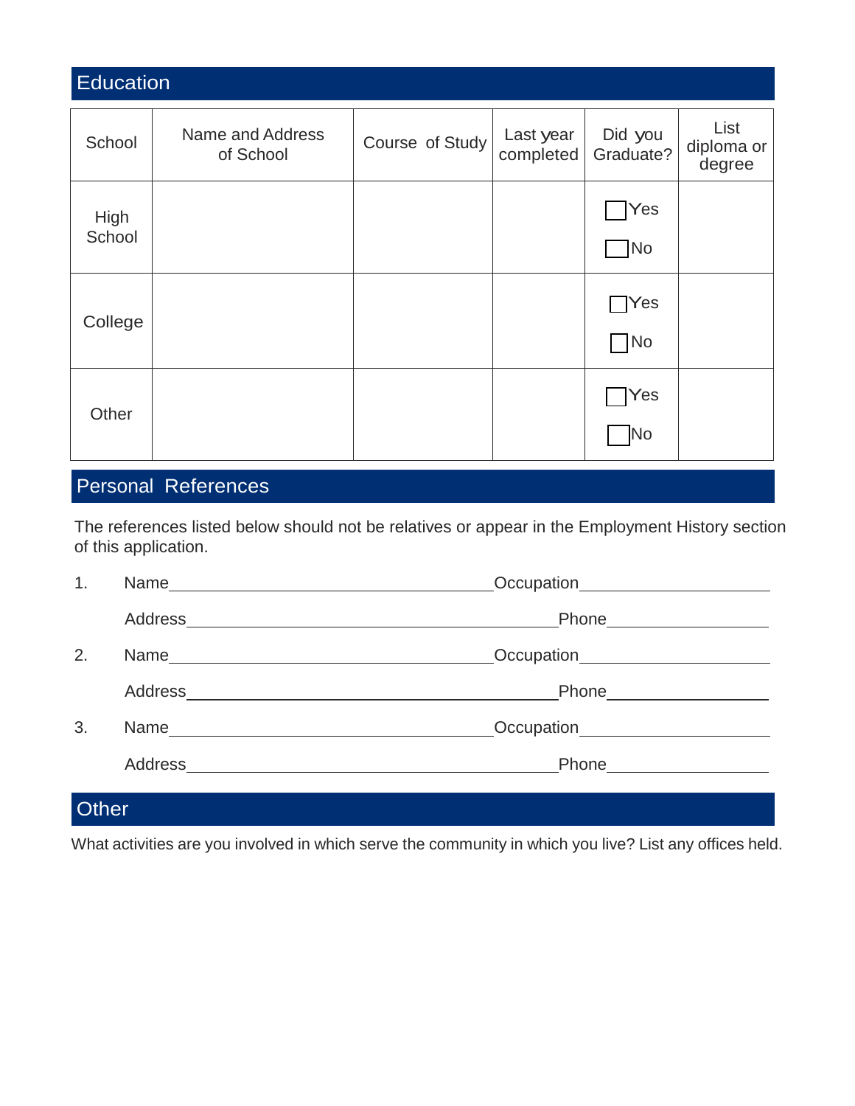| <b>Education</b> |                               |                 |                        |                            |                              |
|------------------|-------------------------------|-----------------|------------------------|----------------------------|------------------------------|
| School           | Name and Address<br>of School | Course of Study | Last year<br>completed | Did you<br>Graduate?       | List<br>diploma or<br>degree |
| High<br>School   |                               |                 |                        | <b>Yes</b><br>TNo          |                              |
| College          |                               |                 |                        | $\bigcap$ Yes<br>$\neg$ No |                              |
| Other            |                               |                 |                        | Yes<br><b>No</b>           |                              |

## Personal References

The references listed below should not be relatives or appear in the Employment History section of this application.

| 1. | Occupation______________________     |  |
|----|--------------------------------------|--|
|    |                                      |  |
| 2. | Occupation________________________   |  |
|    |                                      |  |
| 3. | Occupation <b>CONTENTING CONTENT</b> |  |
|    | Phone____________________            |  |
|    |                                      |  |

### **Other**

What activities are you involved in which serve the community in which you live? List any offices held.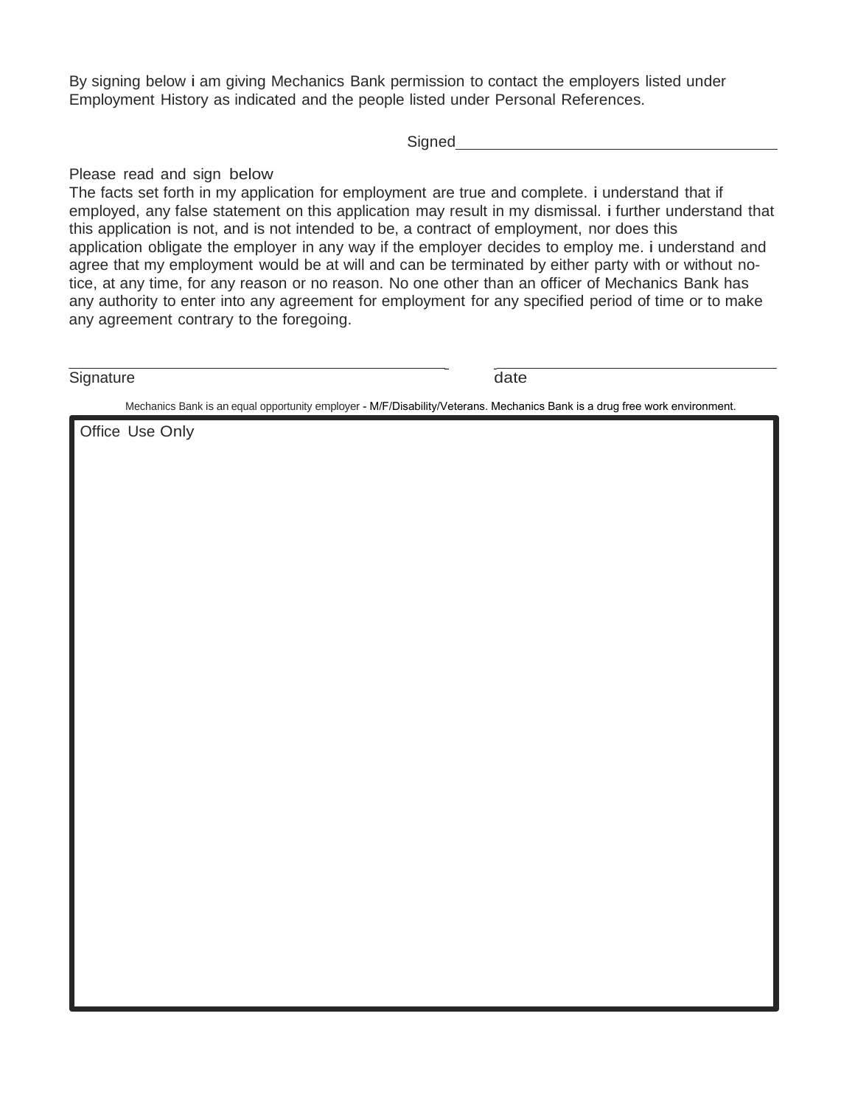By signing below i am giving Mechanics Bank permission to contact the employers listed under Employment History as indicated and the people listed under Personal References.

**Signed** 

#### Please read and sign below

The facts set forth in my application for employment are true and complete. i understand that if employed, any false statement on this application may result in my dismissal. i further understand that this application is not, and is not intended to be, a contract of employment, nor does this application obligate the employer in any way if the employer decides to employ me. i understand and agree that my employment would be at will and can be terminated by either party with or without notice, at any time, for any reason or no reason. No one other than an officer of Mechanics Bank has any authority to enter into any agreement for employment for any specified period of time or to make any agreement contrary to the foregoing.

Signature date

 $\mathcal{L}=\mathcal{L}$ 

Mechanics Bank is an equal opportunity employer - M/F/Disability/Veterans. Mechanics Bank is a drug free work environment.

Office Use Only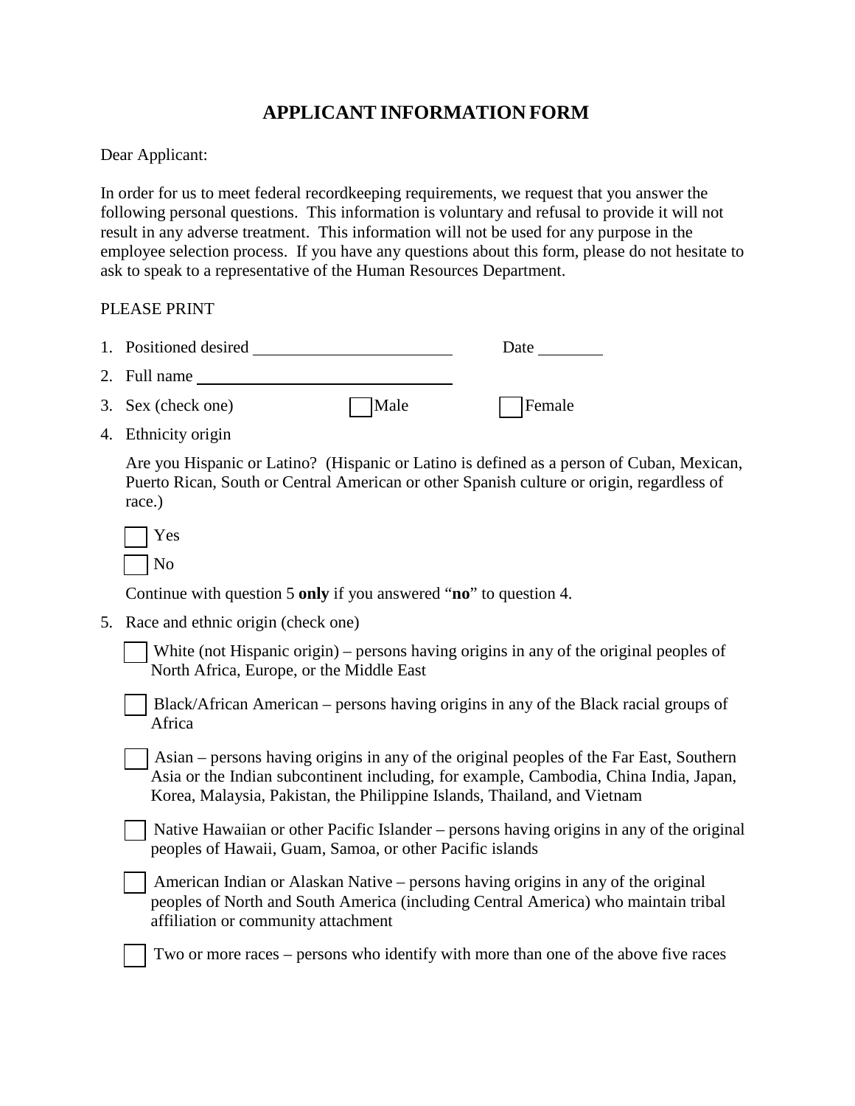### **APPLICANT INFORMATION FORM**

Dear Applicant:

In order for us to meet federal recordkeeping requirements, we request that you answer the following personal questions. This information is voluntary and refusal to provide it will not result in any adverse treatment. This information will not be used for any purpose in the employee selection process. If you have any questions about this form, please do not hesitate to ask to speak to a representative of the Human Resources Department.

#### PLEASE PRINT

| 1. Positioned desired |      | Date   |
|-----------------------|------|--------|
| 2. Full name          |      |        |
| 3. Sex (check one)    | Male | Female |

4. Ethnicity origin

Are you Hispanic or Latino? (Hispanic or Latino is defined as a person of Cuban, Mexican, Puerto Rican, South or Central American or other Spanish culture or origin, regardless of race.)

| S<br>п |
|--------|
|        |

Continue with question 5 **only** if you answered "**no**" to question 4.

5. Race and ethnic origin (check one)

White (not Hispanic origin) – persons having origins in any of the original peoples of North Africa, Europe, or the Middle East

[ ] Black/African American – persons having origins in any of the Black racial groups of Africa

[ ] Asian – persons having origins in any of the original peoples of the Far East, Southern Asia or the Indian subcontinent including, for example, Cambodia, China India, Japan, Korea, Malaysia, Pakistan, the Philippine Islands, Thailand, and Vietnam

Native Hawaiian or other Pacific Islander – persons having origins in any of the original peoples of Hawaii, Guam, Samoa, or other Pacific islands

American Indian or Alaskan Native – persons having origins in any of the original peoples of North and South America (including Central America) who maintain tribal affiliation or community attachment

[ ] Two or more races – persons who identify with more than one of the above five races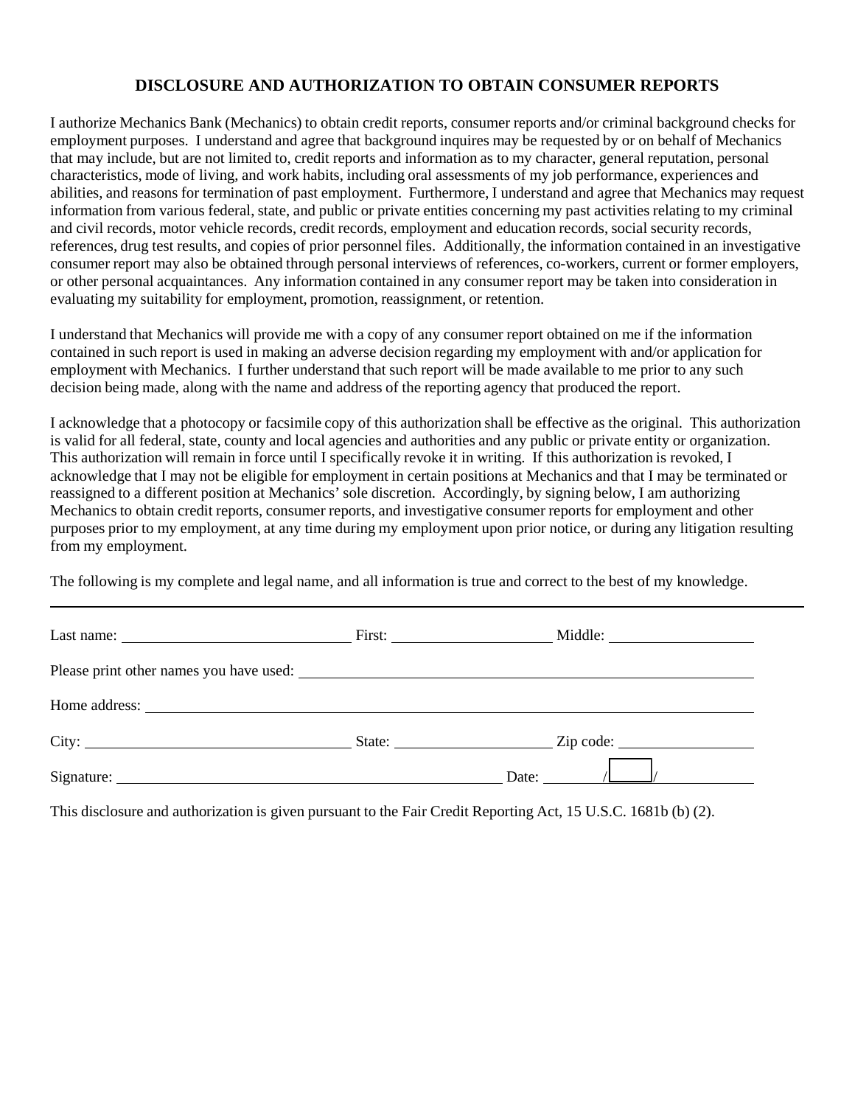#### **DISCLOSURE AND AUTHORIZATION TO OBTAIN CONSUMER REPORTS**

I authorize Mechanics Bank (Mechanics) to obtain credit reports, consumer reports and/or criminal background checks for employment purposes. I understand and agree that background inquires may be requested by or on behalf of Mechanics that may include, but are not limited to, credit reports and information as to my character, general reputation, personal characteristics, mode of living, and work habits, including oral assessments of my job performance, experiences and abilities, and reasons for termination of past employment. Furthermore, I understand and agree that Mechanics may request information from various federal, state, and public or private entities concerning my past activities relating to my criminal and civil records, motor vehicle records, credit records, employment and education records, social security records, references, drug test results, and copies of prior personnel files. Additionally, the information contained in an investigative consumer report may also be obtained through personal interviews of references, co-workers, current or former employers, or other personal acquaintances. Any information contained in any consumer report may be taken into consideration in evaluating my suitability for employment, promotion, reassignment, or retention.

I understand that Mechanics will provide me with a copy of any consumer report obtained on me if the information contained in such report is used in making an adverse decision regarding my employment with and/or application for employment with Mechanics. I further understand that such report will be made available to me prior to any such decision being made, along with the name and address of the reporting agency that produced the report.

I acknowledge that a photocopy or facsimile copy of this authorization shall be effective as the original. This authorization is valid for all federal, state, county and local agencies and authorities and any public or private entity or organization. This authorization will remain in force until I specifically revoke it in writing. If this authorization is revoked, I acknowledge that I may not be eligible for employment in certain positions at Mechanics and that I may be terminated or reassigned to a different position at Mechanics' sole discretion. Accordingly, by signing below, I am authorizing Mechanics to obtain credit reports, consumer reports, and investigative consumer reports for employment and other purposes prior to my employment, at any time during my employment upon prior notice, or during any litigation resulting from my employment.

The following is my complete and legal name, and all information is true and correct to the best of my knowledge.

| Last name: $\frac{1}{\sqrt{1-\frac{1}{2}} \cdot \frac{1}{2}}$ |  |                                  |  |  |  |
|---------------------------------------------------------------|--|----------------------------------|--|--|--|
|                                                               |  |                                  |  |  |  |
|                                                               |  |                                  |  |  |  |
|                                                               |  | State: <u>Contract Zip</u> code: |  |  |  |
|                                                               |  | Date:                            |  |  |  |

This disclosure and authorization is given pursuant to the Fair Credit Reporting Act, 15 U.S.C. 1681b (b) (2).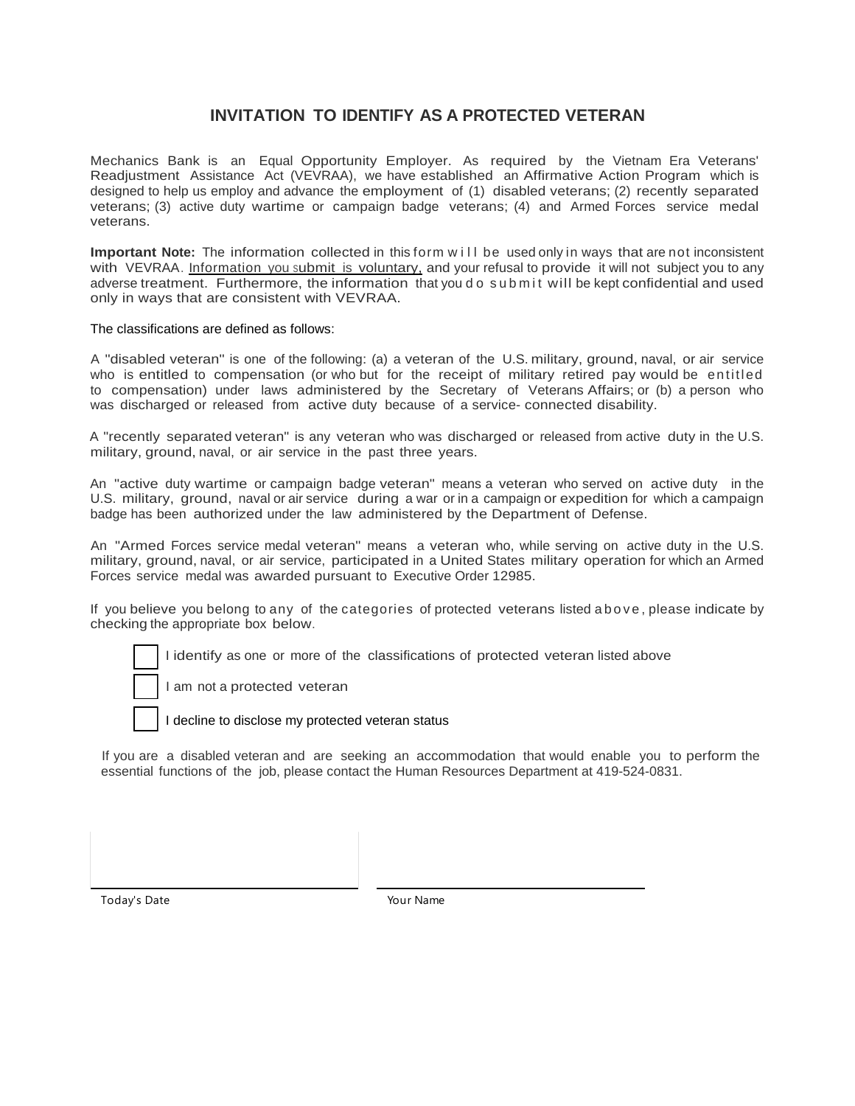#### **INVITATION TO IDENTIFY AS A PROTECTED VETERAN**

Mechanics Bank is an Equal Opportunity Employer. As required by the Vietnam Era Veterans' Readjustment Assistance Act (VEVRAA), we have established an Affirmative Action Program which is designed to help us employ and advance the employment of (1) disabled veterans; (2) recently separated veterans; (3) active duty wartime or campaign badge veterans; (4) and Armed Forces service medal veterans.

**Important Note:** The information collected in this form will be used only in ways that are not inconsistent with VEVRAA. Information you submit is voluntary, and your refusal to provide it will not subject you to any adverse treatment. Furthermore, the information that you d o submit will be kept confidential and used only in ways that are consistent with VEVRAA.

The classifications are defined as follows:

A "disabled veteran" is one of the following: (a) a veteran of the U.S. military, ground, naval, or air service who is entitled to compensation (or who but for the receipt of military retired pay would be entitled to compensation) under laws administered by the Secretary of Veterans Affairs; or (b) a person who was discharged or released from active duty because of a service- connected disability.

A "recently separated veteran" is any veteran who was discharged or released from active duty in the U.S. military, ground, naval, or air service in the past three years.

An "active duty wartime or campaign badge veteran" means a veteran who served on active duty in the U.S. military, ground, naval or air service during a war or in a campaign or expedition for which a campaign badge has been authorized under the law administered by the Department of Defense.

An "Armed Forces service medal veteran" means a veteran who, while serving on active duty in the U.S. military, ground, naval, or air service, participated in a United States military operation for which an Armed Forces service medal was awarded pursuant to Executive Order 12985.

If you believe you belong to any of the categories of protected veterans listed above , please indicate by checking the appropriate box below.

I identify as one or more of the classifications of protected veteran listed above

I am not a protected veteran

I decline to disclose my protected veteran status

If you are a disabled veteran and are seeking an accommodation that would enable you to perform the essential functions of the job, please contact the Human Resources Department at 419-524-0831.

Today's Date Today's Date Today's Date Assessment Countries are the Vour Name